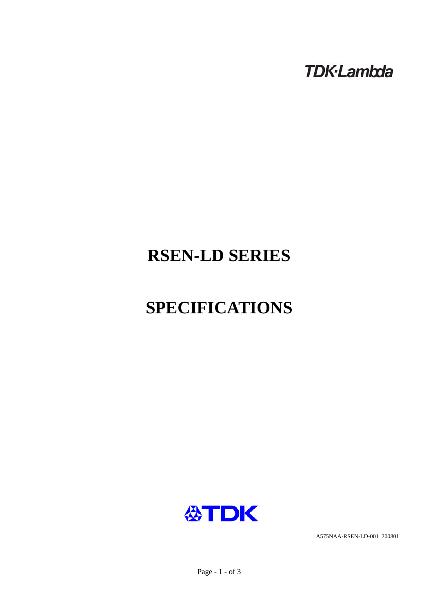**TDK-Lambda** 

# **RSEN-LD SERIES**

# **SPECIFICATIONS**



A575NAA-RSEN-LD-001 200801

Page - 1 - of 3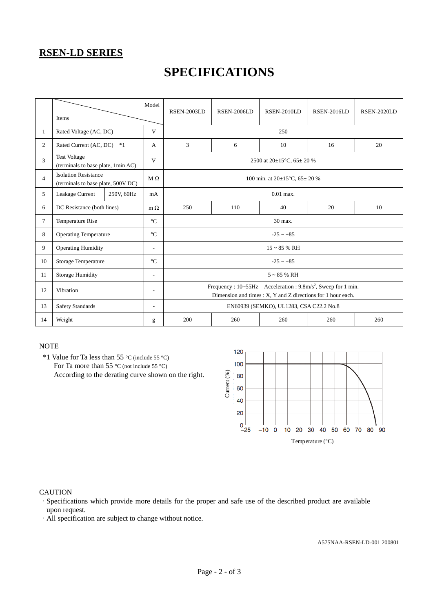### **RSEN-LD SERIES**

## **SPECIFICATIONS**

|                | Items                                                             |            | Model                    | RSEN-2003LD                                                                                                                               | <b>RSEN-2006LD</b> | RSEN-2010LD                             | <b>RSEN-2016LD</b> | RSEN-2020LD |  |
|----------------|-------------------------------------------------------------------|------------|--------------------------|-------------------------------------------------------------------------------------------------------------------------------------------|--------------------|-----------------------------------------|--------------------|-------------|--|
| $\mathbf{1}$   | Rated Voltage (AC, DC)                                            |            | V                        |                                                                                                                                           |                    | 250                                     |                    |             |  |
| $\overline{2}$ | Rated Current (AC, DC)                                            | $*1$       | A                        | 3                                                                                                                                         | 6                  | 10                                      | 16                 | 20          |  |
| 3              | <b>Test Voltage</b><br>(terminals to base plate, 1min AC)         |            | V                        | 2500 at $20\pm15^{\circ}$ C, 65 $\pm$ 20 %                                                                                                |                    |                                         |                    |             |  |
| $\overline{4}$ | <b>Isolation Resistance</b><br>(terminals to base plate, 500V DC) |            | $M \Omega$               | 100 min. at $20\pm15^{\circ}$ C, $65\pm20$ %                                                                                              |                    |                                         |                    |             |  |
| 5              | Leakage Current                                                   | 250V, 60Hz | mA                       |                                                                                                                                           |                    | $0.01$ max.                             |                    |             |  |
| 6              | DC Resistance (both lines)                                        |            | $m \Omega$               | 250                                                                                                                                       | 110                | 40                                      | 20                 | 10          |  |
| 7              | Temperature Rise                                                  |            | $\rm ^{\circ}C$          | 30 max.                                                                                                                                   |                    |                                         |                    |             |  |
| 8              | <b>Operating Temperature</b>                                      |            | $\rm ^{\circ}C$          | $-25 - +85$                                                                                                                               |                    |                                         |                    |             |  |
| 9              | <b>Operating Humidity</b>                                         |            | ٠                        | $15 - 85$ % RH                                                                                                                            |                    |                                         |                    |             |  |
| 10             | <b>Storage Temperature</b>                                        |            | $\rm ^{\circ}C$          | $-25 - +85$                                                                                                                               |                    |                                         |                    |             |  |
| 11             | <b>Storage Humidity</b>                                           |            | $\overline{a}$           | $5 \sim 85$ % RH                                                                                                                          |                    |                                         |                    |             |  |
| 12             | Vibration                                                         |            | $\overline{\phantom{a}}$ | Frequency : 10~55Hz Acceleration : 9.8m/s <sup>2</sup> , Sweep for 1 min.<br>Dimension and times : X, Y and Z directions for 1 hour each. |                    |                                         |                    |             |  |
| 13             | <b>Safety Standards</b>                                           |            | $\overline{\phantom{a}}$ |                                                                                                                                           |                    | EN60939 (SEMKO), UL1283, CSA C22.2 No.8 |                    |             |  |
| 14             | Weight                                                            |            | g                        | 200                                                                                                                                       | 260                | 260                                     | 260                | 260         |  |

#### **NOTE**

 \*1 Value for Ta less than 55 °C (include 55 °C) For Ta more than 55 °C (not include 55 °C) According to the derating curve shown on the right.



#### **CAUTION**

·Specifications which provide more details for the proper and safe use of the described product are available upon request.

·All specification are subject to change without notice.

A575NAA-RSEN-LD-001 200801